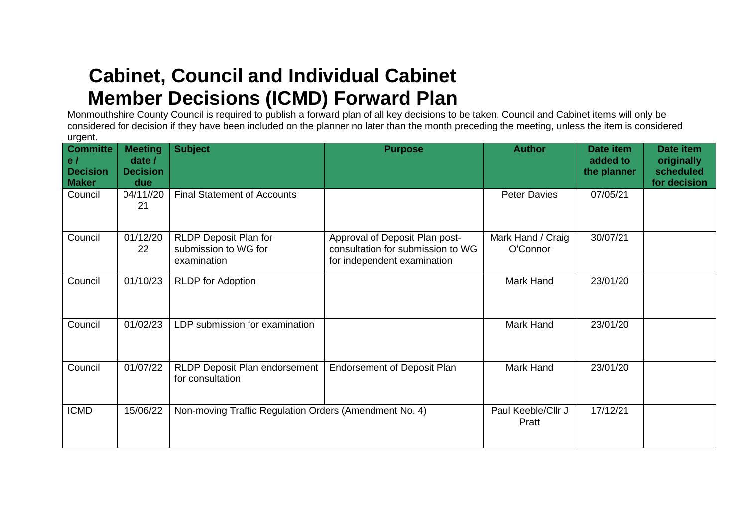## **Cabinet, Council and Individual Cabinet Member Decisions (ICMD) Forward Plan**

Monmouthshire County Council is required to publish a forward plan of all key decisions to be taken. Council and Cabinet items will only be considered for decision if they have been included on the planner no later than the month preceding the meeting, unless the item is considered urgent.

| <b>Committe</b><br>e/<br><b>Decision</b><br><b>Maker</b> | <b>Meeting</b><br>date /<br><b>Decision</b><br>due | <b>Subject</b>                                               | <b>Purpose</b>                                                                                     | <b>Author</b>                 | Date item<br>added to<br>the planner | Date item<br>originally<br>scheduled<br>for decision |
|----------------------------------------------------------|----------------------------------------------------|--------------------------------------------------------------|----------------------------------------------------------------------------------------------------|-------------------------------|--------------------------------------|------------------------------------------------------|
| Council                                                  | 04/11//20<br>21                                    | <b>Final Statement of Accounts</b>                           |                                                                                                    | <b>Peter Davies</b>           | 07/05/21                             |                                                      |
| Council                                                  | 01/12/20<br>22                                     | RLDP Deposit Plan for<br>submission to WG for<br>examination | Approval of Deposit Plan post-<br>consultation for submission to WG<br>for independent examination | Mark Hand / Craig<br>O'Connor | 30/07/21                             |                                                      |
| Council                                                  | 01/10/23                                           | <b>RLDP</b> for Adoption                                     |                                                                                                    | Mark Hand                     | 23/01/20                             |                                                      |
| Council                                                  | 01/02/23                                           | LDP submission for examination                               |                                                                                                    | Mark Hand                     | 23/01/20                             |                                                      |
| Council                                                  | 01/07/22                                           | RLDP Deposit Plan endorsement<br>for consultation            | <b>Endorsement of Deposit Plan</b>                                                                 | Mark Hand                     | 23/01/20                             |                                                      |
| <b>ICMD</b>                                              | 15/06/22                                           | Non-moving Traffic Regulation Orders (Amendment No. 4)       |                                                                                                    | Paul Keeble/Cllr J<br>Pratt   | 17/12/21                             |                                                      |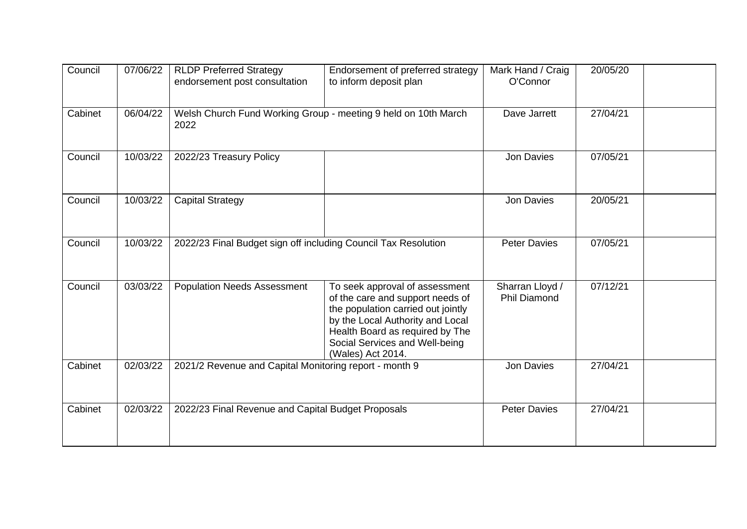| Council | 07/06/22 | <b>RLDP Preferred Strategy</b><br>endorsement post consultation        | Endorsement of preferred strategy<br>to inform deposit plan                                                                                                                                                                            | Mark Hand / Craig<br>O'Connor          | 20/05/20 |
|---------|----------|------------------------------------------------------------------------|----------------------------------------------------------------------------------------------------------------------------------------------------------------------------------------------------------------------------------------|----------------------------------------|----------|
| Cabinet | 06/04/22 | Welsh Church Fund Working Group - meeting 9 held on 10th March<br>2022 |                                                                                                                                                                                                                                        | Dave Jarrett                           | 27/04/21 |
| Council | 10/03/22 | 2022/23 Treasury Policy                                                |                                                                                                                                                                                                                                        | Jon Davies                             | 07/05/21 |
| Council | 10/03/22 | <b>Capital Strategy</b>                                                |                                                                                                                                                                                                                                        | <b>Jon Davies</b>                      | 20/05/21 |
| Council | 10/03/22 | 2022/23 Final Budget sign off including Council Tax Resolution         |                                                                                                                                                                                                                                        | <b>Peter Davies</b>                    | 07/05/21 |
| Council | 03/03/22 | <b>Population Needs Assessment</b>                                     | To seek approval of assessment<br>of the care and support needs of<br>the population carried out jointly<br>by the Local Authority and Local<br>Health Board as required by The<br>Social Services and Well-being<br>(Wales) Act 2014. | Sharran Lloyd /<br><b>Phil Diamond</b> | 07/12/21 |
| Cabinet | 02/03/22 | 2021/2 Revenue and Capital Monitoring report - month 9                 |                                                                                                                                                                                                                                        | Jon Davies                             | 27/04/21 |
| Cabinet | 02/03/22 | 2022/23 Final Revenue and Capital Budget Proposals                     |                                                                                                                                                                                                                                        | <b>Peter Davies</b>                    | 27/04/21 |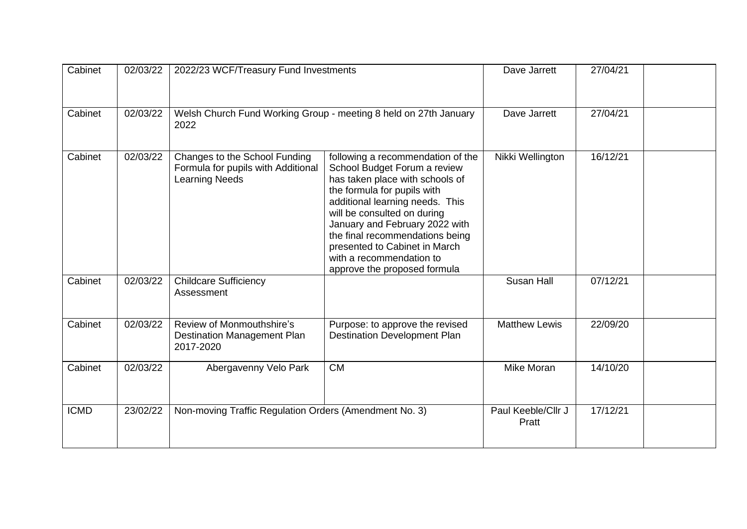| Cabinet     | 02/03/22 | 2022/23 WCF/Treasury Fund Investments                                                        |                                                                                                                                                                                                                                                                                                                                                                         | Dave Jarrett                | 27/04/21 |  |
|-------------|----------|----------------------------------------------------------------------------------------------|-------------------------------------------------------------------------------------------------------------------------------------------------------------------------------------------------------------------------------------------------------------------------------------------------------------------------------------------------------------------------|-----------------------------|----------|--|
| Cabinet     | 02/03/22 | Welsh Church Fund Working Group - meeting 8 held on 27th January<br>2022                     |                                                                                                                                                                                                                                                                                                                                                                         | Dave Jarrett                | 27/04/21 |  |
| Cabinet     | 02/03/22 | Changes to the School Funding<br>Formula for pupils with Additional<br><b>Learning Needs</b> | following a recommendation of the<br>School Budget Forum a review<br>has taken place with schools of<br>the formula for pupils with<br>additional learning needs. This<br>will be consulted on during<br>January and February 2022 with<br>the final recommendations being<br>presented to Cabinet in March<br>with a recommendation to<br>approve the proposed formula | Nikki Wellington            | 16/12/21 |  |
| Cabinet     | 02/03/22 | <b>Childcare Sufficiency</b><br>Assessment                                                   |                                                                                                                                                                                                                                                                                                                                                                         | Susan Hall                  | 07/12/21 |  |
| Cabinet     | 02/03/22 | Review of Monmouthshire's<br><b>Destination Management Plan</b><br>2017-2020                 | Purpose: to approve the revised<br><b>Destination Development Plan</b>                                                                                                                                                                                                                                                                                                  | <b>Matthew Lewis</b>        | 22/09/20 |  |
| Cabinet     | 02/03/22 | Abergavenny Velo Park                                                                        | <b>CM</b>                                                                                                                                                                                                                                                                                                                                                               | Mike Moran                  | 14/10/20 |  |
| <b>ICMD</b> | 23/02/22 | Non-moving Traffic Regulation Orders (Amendment No. 3)                                       |                                                                                                                                                                                                                                                                                                                                                                         | Paul Keeble/Cllr J<br>Pratt | 17/12/21 |  |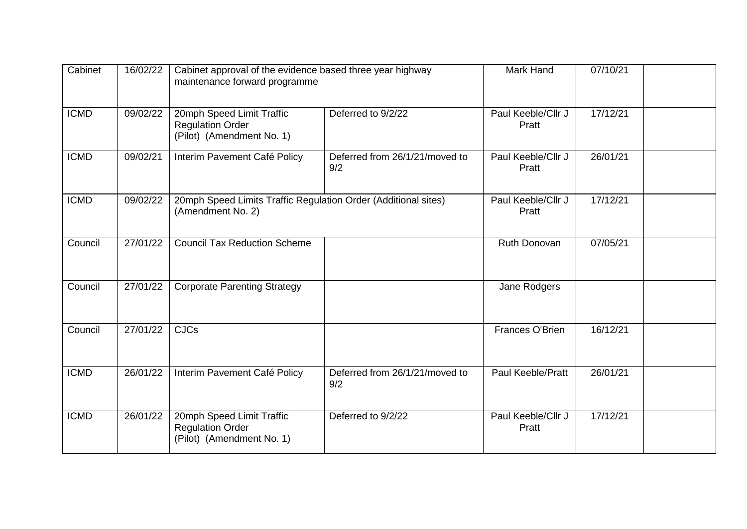| Cabinet     | 16/02/22 | Cabinet approval of the evidence based three year highway<br>maintenance forward programme |                                       | Mark Hand                   | 07/10/21 |  |
|-------------|----------|--------------------------------------------------------------------------------------------|---------------------------------------|-----------------------------|----------|--|
| <b>ICMD</b> | 09/02/22 | 20mph Speed Limit Traffic<br><b>Regulation Order</b><br>(Pilot) (Amendment No. 1)          | Deferred to 9/2/22                    | Paul Keeble/Cllr J<br>Pratt | 17/12/21 |  |
| <b>ICMD</b> | 09/02/21 | Interim Pavement Café Policy                                                               | Deferred from 26/1/21/moved to<br>9/2 | Paul Keeble/Cllr J<br>Pratt | 26/01/21 |  |
| <b>ICMD</b> | 09/02/22 | 20mph Speed Limits Traffic Regulation Order (Additional sites)<br>(Amendment No. 2)        |                                       | Paul Keeble/Cllr J<br>Pratt | 17/12/21 |  |
| Council     | 27/01/22 | <b>Council Tax Reduction Scheme</b>                                                        |                                       | Ruth Donovan                | 07/05/21 |  |
| Council     | 27/01/22 | <b>Corporate Parenting Strategy</b>                                                        |                                       | Jane Rodgers                |          |  |
| Council     | 27/01/22 | <b>CJCs</b>                                                                                |                                       | Frances O'Brien             | 16/12/21 |  |
| <b>ICMD</b> | 26/01/22 | Interim Pavement Café Policy                                                               | Deferred from 26/1/21/moved to<br>9/2 | <b>Paul Keeble/Pratt</b>    | 26/01/21 |  |
| <b>ICMD</b> | 26/01/22 | 20mph Speed Limit Traffic<br><b>Regulation Order</b><br>(Pilot) (Amendment No. 1)          | Deferred to 9/2/22                    | Paul Keeble/Cllr J<br>Pratt | 17/12/21 |  |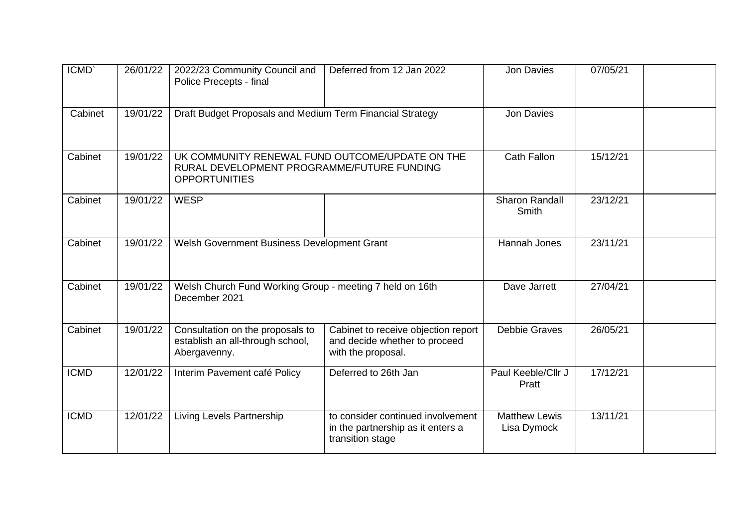| ICMD'       | 26/01/22 | 2022/23 Community Council and<br>Police Precepts - final                                                              | Deferred from 12 Jan 2022                                                                  | <b>Jon Davies</b>                   | 07/05/21 |  |
|-------------|----------|-----------------------------------------------------------------------------------------------------------------------|--------------------------------------------------------------------------------------------|-------------------------------------|----------|--|
| Cabinet     | 19/01/22 | Draft Budget Proposals and Medium Term Financial Strategy                                                             |                                                                                            | <b>Jon Davies</b>                   |          |  |
| Cabinet     | 19/01/22 | UK COMMUNITY RENEWAL FUND OUTCOME/UPDATE ON THE<br>RURAL DEVELOPMENT PROGRAMME/FUTURE FUNDING<br><b>OPPORTUNITIES</b> |                                                                                            | <b>Cath Fallon</b>                  | 15/12/21 |  |
| Cabinet     | 19/01/22 | <b>WESP</b>                                                                                                           |                                                                                            | Sharon Randall<br>Smith             | 23/12/21 |  |
| Cabinet     | 19/01/22 | Welsh Government Business Development Grant                                                                           |                                                                                            | Hannah Jones                        | 23/11/21 |  |
| Cabinet     | 19/01/22 | Welsh Church Fund Working Group - meeting 7 held on 16th<br>December 2021                                             |                                                                                            | Dave Jarrett                        | 27/04/21 |  |
| Cabinet     | 19/01/22 | Consultation on the proposals to<br>establish an all-through school,<br>Abergavenny.                                  | Cabinet to receive objection report<br>and decide whether to proceed<br>with the proposal. | <b>Debbie Graves</b>                | 26/05/21 |  |
| <b>ICMD</b> | 12/01/22 | Interim Pavement café Policy                                                                                          | Deferred to 26th Jan                                                                       | Paul Keeble/Cllr J<br>Pratt         | 17/12/21 |  |
| <b>ICMD</b> | 12/01/22 | Living Levels Partnership                                                                                             | to consider continued involvement<br>in the partnership as it enters a<br>transition stage | <b>Matthew Lewis</b><br>Lisa Dymock | 13/11/21 |  |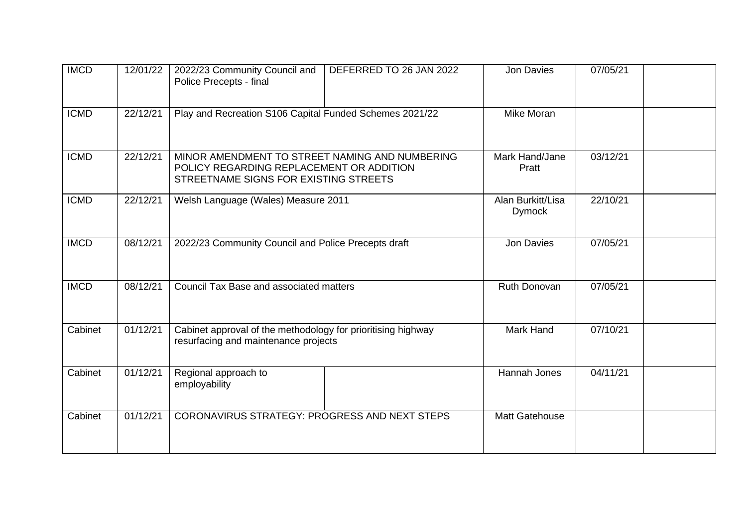| <b>IMCD</b> | 12/01/22 | 2022/23 Community Council and<br>Police Precepts - final                                                                            | DEFERRED TO 26 JAN 2022 | Jon Davies                         | 07/05/21 |  |
|-------------|----------|-------------------------------------------------------------------------------------------------------------------------------------|-------------------------|------------------------------------|----------|--|
| <b>ICMD</b> | 22/12/21 | Play and Recreation S106 Capital Funded Schemes 2021/22                                                                             |                         | Mike Moran                         |          |  |
| <b>ICMD</b> | 22/12/21 | MINOR AMENDMENT TO STREET NAMING AND NUMBERING<br>POLICY REGARDING REPLACEMENT OR ADDITION<br>STREETNAME SIGNS FOR EXISTING STREETS |                         | Mark Hand/Jane<br>Pratt            | 03/12/21 |  |
| <b>ICMD</b> | 22/12/21 | Welsh Language (Wales) Measure 2011                                                                                                 |                         | Alan Burkitt/Lisa<br><b>Dymock</b> | 22/10/21 |  |
| <b>IMCD</b> | 08/12/21 | 2022/23 Community Council and Police Precepts draft                                                                                 |                         | Jon Davies                         | 07/05/21 |  |
| <b>IMCD</b> | 08/12/21 | Council Tax Base and associated matters                                                                                             |                         | Ruth Donovan                       | 07/05/21 |  |
| Cabinet     | 01/12/21 | Cabinet approval of the methodology for prioritising highway<br>resurfacing and maintenance projects                                |                         | <b>Mark Hand</b>                   | 07/10/21 |  |
| Cabinet     | 01/12/21 | Regional approach to<br>employability                                                                                               |                         | Hannah Jones                       | 04/11/21 |  |
| Cabinet     | 01/12/21 | CORONAVIRUS STRATEGY: PROGRESS AND NEXT STEPS                                                                                       |                         | Matt Gatehouse                     |          |  |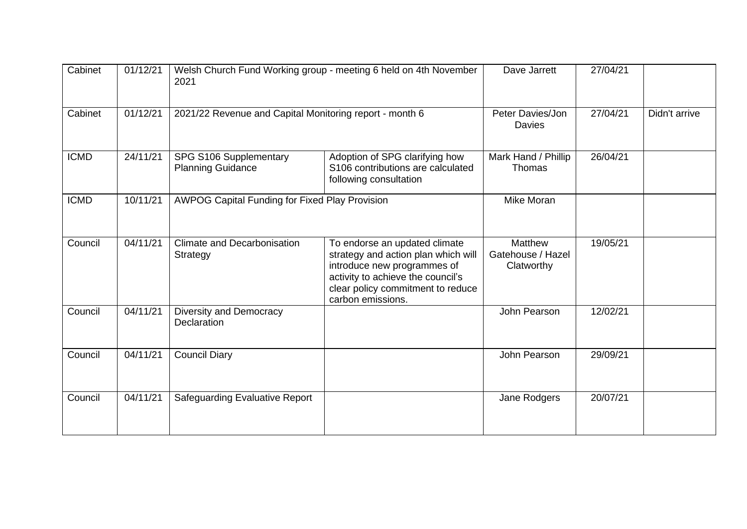| Cabinet     | 01/12/21 | Welsh Church Fund Working group - meeting 6 held on 4th November<br>2021 |                                                                                                                                                                                                    | Dave Jarrett                                      | 27/04/21 |               |
|-------------|----------|--------------------------------------------------------------------------|----------------------------------------------------------------------------------------------------------------------------------------------------------------------------------------------------|---------------------------------------------------|----------|---------------|
| Cabinet     | 01/12/21 | 2021/22 Revenue and Capital Monitoring report - month 6                  |                                                                                                                                                                                                    | Peter Davies/Jon<br>Davies                        | 27/04/21 | Didn't arrive |
| <b>ICMD</b> | 24/11/21 | SPG S106 Supplementary<br><b>Planning Guidance</b>                       | Adoption of SPG clarifying how<br>S106 contributions are calculated<br>following consultation                                                                                                      | Mark Hand / Phillip<br>Thomas                     | 26/04/21 |               |
| <b>ICMD</b> | 10/11/21 |                                                                          | AWPOG Capital Funding for Fixed Play Provision                                                                                                                                                     |                                                   |          |               |
| Council     | 04/11/21 | <b>Climate and Decarbonisation</b><br>Strategy                           | To endorse an updated climate<br>strategy and action plan which will<br>introduce new programmes of<br>activity to achieve the council's<br>clear policy commitment to reduce<br>carbon emissions. | <b>Matthew</b><br>Gatehouse / Hazel<br>Clatworthy | 19/05/21 |               |
| Council     | 04/11/21 | Diversity and Democracy<br>Declaration                                   |                                                                                                                                                                                                    | John Pearson                                      | 12/02/21 |               |
| Council     | 04/11/21 | <b>Council Diary</b>                                                     |                                                                                                                                                                                                    | John Pearson                                      | 29/09/21 |               |
| Council     | 04/11/21 | <b>Safeguarding Evaluative Report</b>                                    |                                                                                                                                                                                                    | Jane Rodgers                                      | 20/07/21 |               |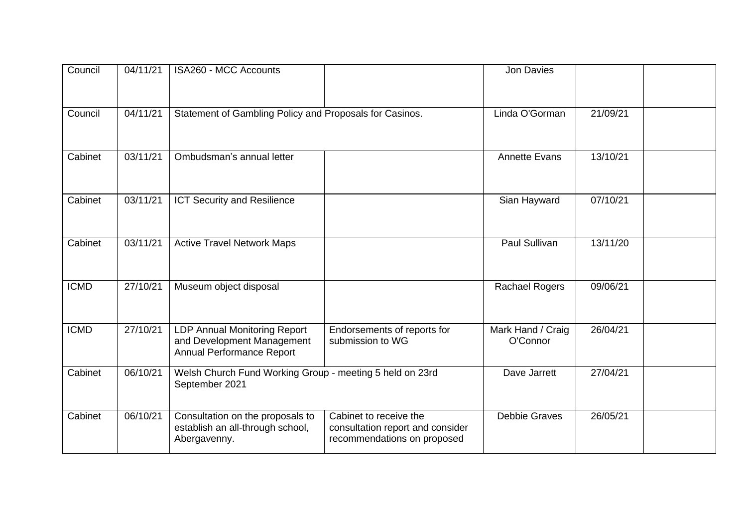| Council     | 04/11/21 | ISA260 - MCC Accounts                                                                   |                                                                                           | Jon Davies                    |          |  |
|-------------|----------|-----------------------------------------------------------------------------------------|-------------------------------------------------------------------------------------------|-------------------------------|----------|--|
| Council     | 04/11/21 | Statement of Gambling Policy and Proposals for Casinos.                                 |                                                                                           | Linda O'Gorman                | 21/09/21 |  |
| Cabinet     | 03/11/21 | Ombudsman's annual letter                                                               |                                                                                           | <b>Annette Evans</b>          | 13/10/21 |  |
| Cabinet     | 03/11/21 | <b>ICT Security and Resilience</b>                                                      |                                                                                           | Sian Hayward                  | 07/10/21 |  |
| Cabinet     | 03/11/21 | <b>Active Travel Network Maps</b>                                                       |                                                                                           | Paul Sullivan                 | 13/11/20 |  |
| <b>ICMD</b> | 27/10/21 | Museum object disposal                                                                  |                                                                                           | <b>Rachael Rogers</b>         | 09/06/21 |  |
| <b>ICMD</b> | 27/10/21 | LDP Annual Monitoring Report<br>and Development Management<br>Annual Performance Report | Endorsements of reports for<br>submission to WG                                           | Mark Hand / Craig<br>O'Connor | 26/04/21 |  |
| Cabinet     | 06/10/21 | Welsh Church Fund Working Group - meeting 5 held on 23rd<br>September 2021              |                                                                                           | Dave Jarrett                  | 27/04/21 |  |
| Cabinet     | 06/10/21 | Consultation on the proposals to<br>establish an all-through school,<br>Abergavenny.    | Cabinet to receive the<br>consultation report and consider<br>recommendations on proposed | <b>Debbie Graves</b>          | 26/05/21 |  |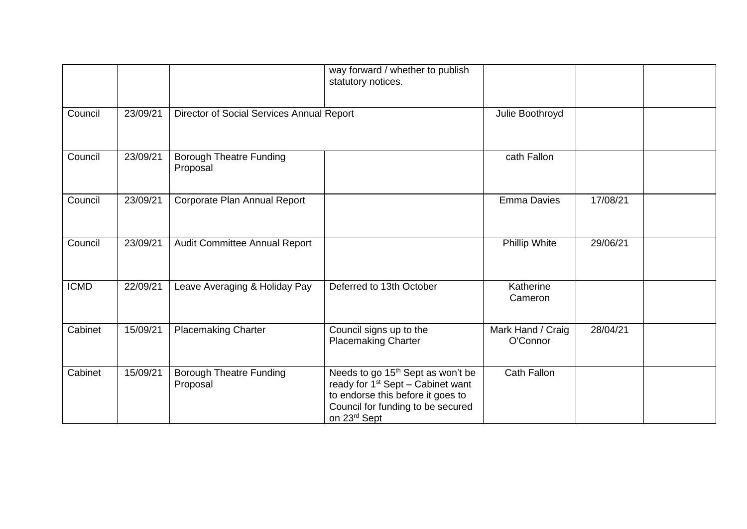|             |          |                                            | way forward / whether to publish<br>statutory notices.                                                                                                                                   |                               |          |  |
|-------------|----------|--------------------------------------------|------------------------------------------------------------------------------------------------------------------------------------------------------------------------------------------|-------------------------------|----------|--|
| Council     | 23/09/21 |                                            | Director of Social Services Annual Report                                                                                                                                                |                               |          |  |
| Council     | 23/09/21 | <b>Borough Theatre Funding</b><br>Proposal |                                                                                                                                                                                          | cath Fallon                   |          |  |
| Council     | 23/09/21 | Corporate Plan Annual Report               |                                                                                                                                                                                          | <b>Emma Davies</b>            | 17/08/21 |  |
| Council     | 23/09/21 | Audit Committee Annual Report              |                                                                                                                                                                                          | Phillip White                 | 29/06/21 |  |
| <b>ICMD</b> | 22/09/21 | Leave Averaging & Holiday Pay              | Deferred to 13th October                                                                                                                                                                 | Katherine<br>Cameron          |          |  |
| Cabinet     | 15/09/21 | <b>Placemaking Charter</b>                 | Council signs up to the<br><b>Placemaking Charter</b>                                                                                                                                    | Mark Hand / Craig<br>O'Connor | 28/04/21 |  |
| Cabinet     | 15/09/21 | <b>Borough Theatre Funding</b><br>Proposal | Needs to go 15 <sup>th</sup> Sept as won't be<br>ready for 1 <sup>st</sup> Sept - Cabinet want<br>to endorse this before it goes to<br>Council for funding to be secured<br>on 23rd Sept | <b>Cath Fallon</b>            |          |  |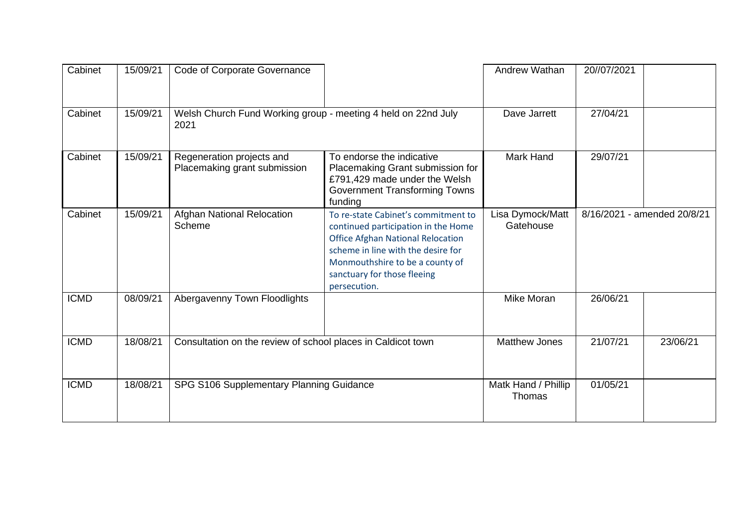| Cabinet     | 15/09/21 | Code of Corporate Governance                                 |                                                                                                                                                                                                                                                | Andrew Wathan                 | 20//07/2021 |                             |
|-------------|----------|--------------------------------------------------------------|------------------------------------------------------------------------------------------------------------------------------------------------------------------------------------------------------------------------------------------------|-------------------------------|-------------|-----------------------------|
| Cabinet     | 15/09/21 | 2021                                                         | Welsh Church Fund Working group - meeting 4 held on 22nd July                                                                                                                                                                                  |                               | 27/04/21    |                             |
| Cabinet     | 15/09/21 | Regeneration projects and<br>Placemaking grant submission    | To endorse the indicative<br>Placemaking Grant submission for<br>£791,429 made under the Welsh<br>Government Transforming Towns<br>funding                                                                                                     | Mark Hand                     | 29/07/21    |                             |
| Cabinet     | 15/09/21 | <b>Afghan National Relocation</b><br>Scheme                  | To re-state Cabinet's commitment to<br>continued participation in the Home<br><b>Office Afghan National Relocation</b><br>scheme in line with the desire for<br>Monmouthshire to be a county of<br>sanctuary for those fleeing<br>persecution. | Lisa Dymock/Matt<br>Gatehouse |             | 8/16/2021 - amended 20/8/21 |
| <b>ICMD</b> | 08/09/21 | Abergavenny Town Floodlights                                 |                                                                                                                                                                                                                                                | <b>Mike Moran</b>             | 26/06/21    |                             |
| <b>ICMD</b> | 18/08/21 | Consultation on the review of school places in Caldicot town |                                                                                                                                                                                                                                                | <b>Matthew Jones</b>          | 21/07/21    | 23/06/21                    |
| <b>ICMD</b> | 18/08/21 |                                                              | Matk Hand / Phillip<br>SPG S106 Supplementary Planning Guidance                                                                                                                                                                                |                               | 01/05/21    |                             |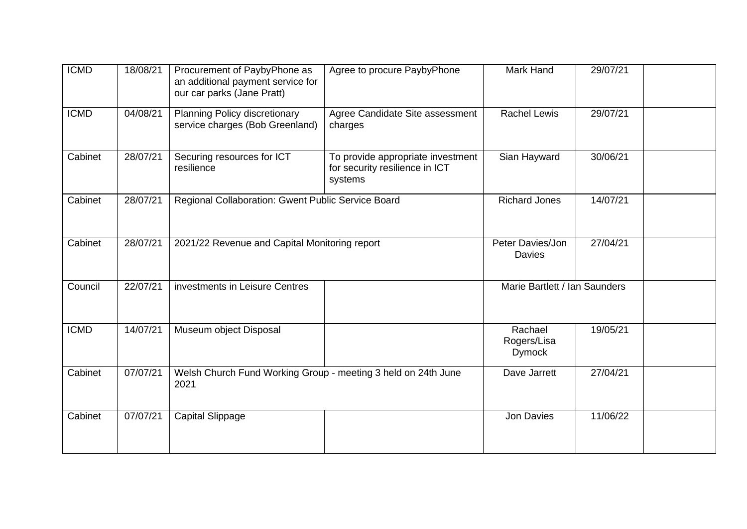| <b>ICMD</b> | 18/08/21 | Procurement of PaybyPhone as<br>an additional payment service for<br>our car parks (Jane Pratt) | Agree to procure PaybyPhone                                                    | Mark Hand                               | 29/07/21 |  |
|-------------|----------|-------------------------------------------------------------------------------------------------|--------------------------------------------------------------------------------|-----------------------------------------|----------|--|
| <b>ICMD</b> | 04/08/21 | Planning Policy discretionary<br>service charges (Bob Greenland)                                | Agree Candidate Site assessment<br>charges                                     | <b>Rachel Lewis</b>                     | 29/07/21 |  |
| Cabinet     | 28/07/21 | Securing resources for ICT<br>resilience                                                        | To provide appropriate investment<br>for security resilience in ICT<br>systems | Sian Hayward                            | 30/06/21 |  |
| Cabinet     | 28/07/21 | Regional Collaboration: Gwent Public Service Board                                              |                                                                                | <b>Richard Jones</b>                    | 14/07/21 |  |
| Cabinet     | 28/07/21 | 2021/22 Revenue and Capital Monitoring report                                                   |                                                                                | Peter Davies/Jon<br><b>Davies</b>       | 27/04/21 |  |
| Council     | 22/07/21 | investments in Leisure Centres                                                                  |                                                                                | Marie Bartlett / Ian Saunders           |          |  |
| <b>ICMD</b> | 14/07/21 | Museum object Disposal                                                                          |                                                                                | Rachael<br>Rogers/Lisa<br><b>Dymock</b> | 19/05/21 |  |
| Cabinet     | 07/07/21 | Welsh Church Fund Working Group - meeting 3 held on 24th June<br>2021                           |                                                                                | Dave Jarrett                            | 27/04/21 |  |
| Cabinet     | 07/07/21 | <b>Capital Slippage</b>                                                                         |                                                                                | Jon Davies                              | 11/06/22 |  |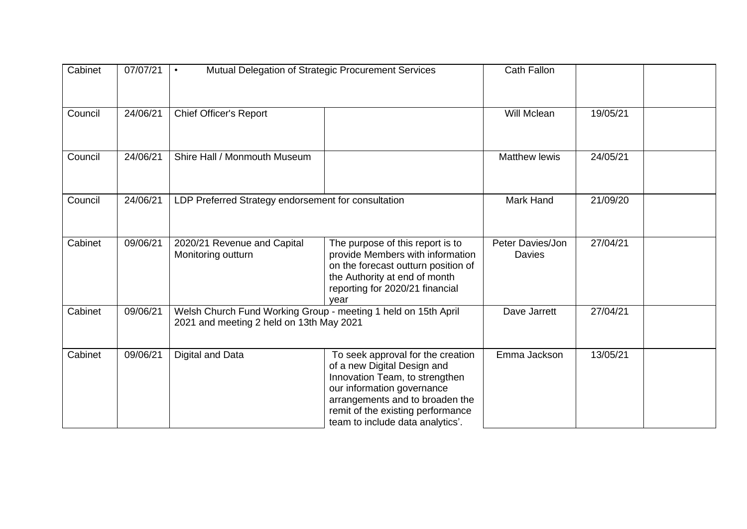| Cabinet | 07/07/21 | Mutual Delegation of Strategic Procurement Services<br>$\bullet$ |                                                                                                                                                                                                                                              | <b>Cath Fallon</b>                |          |
|---------|----------|------------------------------------------------------------------|----------------------------------------------------------------------------------------------------------------------------------------------------------------------------------------------------------------------------------------------|-----------------------------------|----------|
| Council | 24/06/21 | <b>Chief Officer's Report</b>                                    |                                                                                                                                                                                                                                              | Will Mclean                       | 19/05/21 |
| Council | 24/06/21 | Shire Hall / Monmouth Museum                                     |                                                                                                                                                                                                                                              | <b>Matthew lewis</b>              | 24/05/21 |
| Council | 24/06/21 | LDP Preferred Strategy endorsement for consultation              |                                                                                                                                                                                                                                              | Mark Hand                         | 21/09/20 |
| Cabinet | 09/06/21 | 2020/21 Revenue and Capital<br>Monitoring outturn                | The purpose of this report is to<br>provide Members with information<br>on the forecast outturn position of<br>the Authority at end of month<br>reporting for 2020/21 financial<br>vear                                                      | Peter Davies/Jon<br><b>Davies</b> | 27/04/21 |
| Cabinet | 09/06/21 |                                                                  | Welsh Church Fund Working Group - meeting 1 held on 15th April<br>2021 and meeting 2 held on 13th May 2021                                                                                                                                   |                                   | 27/04/21 |
| Cabinet | 09/06/21 | Digital and Data                                                 | To seek approval for the creation<br>of a new Digital Design and<br>Innovation Team, to strengthen<br>our information governance<br>arrangements and to broaden the<br>remit of the existing performance<br>team to include data analytics'. | Emma Jackson                      | 13/05/21 |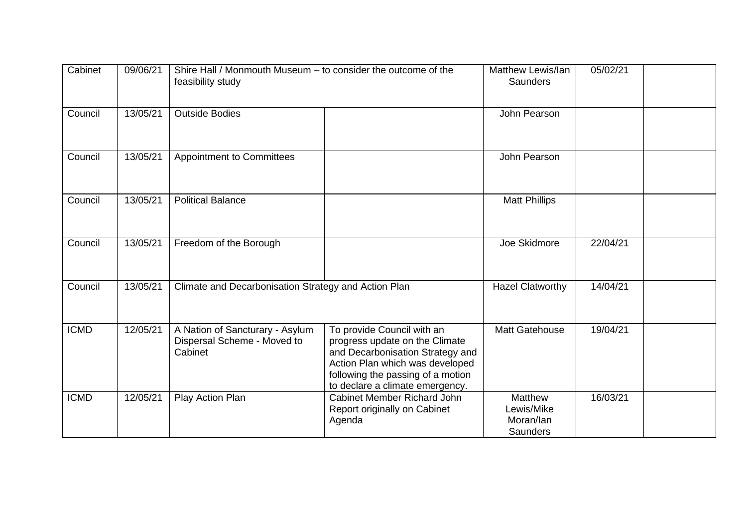| Cabinet     | 09/06/21 | Shire Hall / Monmouth Museum - to consider the outcome of the<br>feasibility study |                                                                                                                                                                                                             | Matthew Lewis/lan<br>Saunders                         | 05/02/21 |
|-------------|----------|------------------------------------------------------------------------------------|-------------------------------------------------------------------------------------------------------------------------------------------------------------------------------------------------------------|-------------------------------------------------------|----------|
| Council     | 13/05/21 | <b>Outside Bodies</b>                                                              |                                                                                                                                                                                                             | John Pearson                                          |          |
| Council     | 13/05/21 | <b>Appointment to Committees</b>                                                   |                                                                                                                                                                                                             | John Pearson                                          |          |
| Council     | 13/05/21 | <b>Political Balance</b>                                                           |                                                                                                                                                                                                             | <b>Matt Phillips</b>                                  |          |
| Council     | 13/05/21 | Freedom of the Borough                                                             |                                                                                                                                                                                                             | Joe Skidmore                                          | 22/04/21 |
| Council     | 13/05/21 | Climate and Decarbonisation Strategy and Action Plan                               |                                                                                                                                                                                                             | <b>Hazel Clatworthy</b>                               | 14/04/21 |
| <b>ICMD</b> | 12/05/21 | A Nation of Sancturary - Asylum<br>Dispersal Scheme - Moved to<br>Cabinet          | To provide Council with an<br>progress update on the Climate<br>and Decarbonisation Strategy and<br>Action Plan which was developed<br>following the passing of a motion<br>to declare a climate emergency. | Matt Gatehouse                                        | 19/04/21 |
| <b>ICMD</b> | 12/05/21 | Play Action Plan                                                                   | Cabinet Member Richard John<br>Report originally on Cabinet<br>Agenda                                                                                                                                       | <b>Matthew</b><br>Lewis/Mike<br>Moran/lan<br>Saunders | 16/03/21 |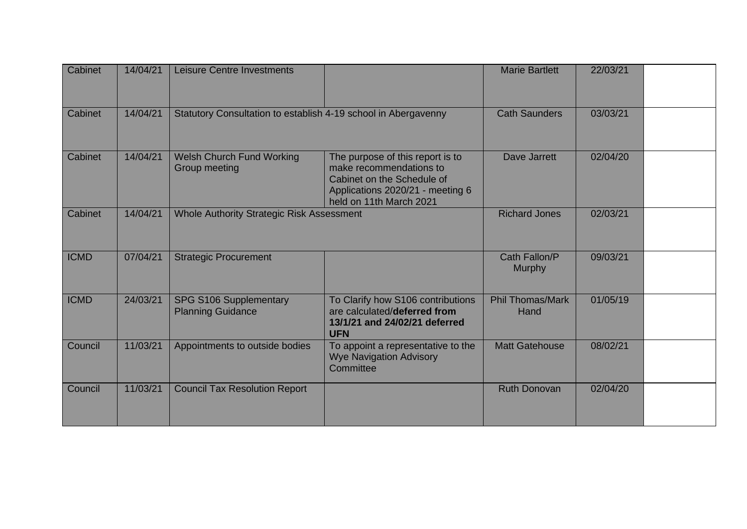| Cabinet     | 14/04/21 | Leisure Centre Investments                                     |                                                                                                                                                          | <b>Marie Bartlett</b>           | 22/03/21 |  |
|-------------|----------|----------------------------------------------------------------|----------------------------------------------------------------------------------------------------------------------------------------------------------|---------------------------------|----------|--|
| Cabinet     | 14/04/21 | Statutory Consultation to establish 4-19 school in Abergavenny |                                                                                                                                                          | <b>Cath Saunders</b>            | 03/03/21 |  |
| Cabinet     | 14/04/21 | <b>Welsh Church Fund Working</b><br>Group meeting              | The purpose of this report is to<br>make recommendations to<br>Cabinet on the Schedule of<br>Applications 2020/21 - meeting 6<br>held on 11th March 2021 | Dave Jarrett                    | 02/04/20 |  |
| Cabinet     | 14/04/21 | Whole Authority Strategic Risk Assessment                      |                                                                                                                                                          | <b>Richard Jones</b>            | 02/03/21 |  |
| <b>ICMD</b> | 07/04/21 | <b>Strategic Procurement</b>                                   |                                                                                                                                                          | Cath Fallon/P<br><b>Murphy</b>  | 09/03/21 |  |
| <b>ICMD</b> | 24/03/21 | SPG S106 Supplementary<br><b>Planning Guidance</b>             | To Clarify how S106 contributions<br>are calculated/deferred from<br>13/1/21 and 24/02/21 deferred<br><b>UFN</b>                                         | <b>Phil Thomas/Mark</b><br>Hand | 01/05/19 |  |
| Council     | 11/03/21 | Appointments to outside bodies                                 | To appoint a representative to the<br><b>Wye Navigation Advisory</b><br>Committee                                                                        | <b>Matt Gatehouse</b>           | 08/02/21 |  |
| Council     | 11/03/21 | <b>Council Tax Resolution Report</b>                           |                                                                                                                                                          | <b>Ruth Donovan</b>             | 02/04/20 |  |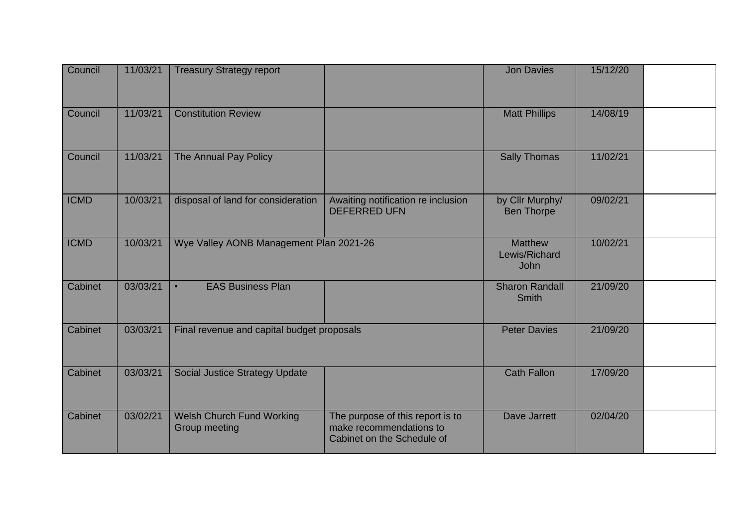| Council     | 11/03/21 | <b>Treasury Strategy report</b>                   |                                                                                           | <b>Jon Davies</b>                              | 15/12/20 |  |
|-------------|----------|---------------------------------------------------|-------------------------------------------------------------------------------------------|------------------------------------------------|----------|--|
| Council     | 11/03/21 | <b>Constitution Review</b>                        |                                                                                           | <b>Matt Phillips</b>                           | 14/08/19 |  |
| Council     | 11/03/21 | The Annual Pay Policy                             |                                                                                           | <b>Sally Thomas</b>                            | 11/02/21 |  |
| <b>ICMD</b> | 10/03/21 | disposal of land for consideration                | Awaiting notification re inclusion<br><b>DEFERRED UFN</b>                                 | by Cllr Murphy/<br><b>Ben Thorpe</b>           | 09/02/21 |  |
| <b>ICMD</b> | 10/03/21 | Wye Valley AONB Management Plan 2021-26           |                                                                                           | <b>Matthew</b><br>Lewis/Richard<br><b>John</b> | 10/02/21 |  |
| Cabinet     | 03/03/21 | <b>EAS Business Plan</b><br>$\bullet$             |                                                                                           | <b>Sharon Randall</b><br><b>Smith</b>          | 21/09/20 |  |
| Cabinet     | 03/03/21 | Final revenue and capital budget proposals        |                                                                                           | <b>Peter Davies</b>                            | 21/09/20 |  |
| Cabinet     | 03/03/21 | <b>Social Justice Strategy Update</b>             |                                                                                           | <b>Cath Fallon</b>                             | 17/09/20 |  |
| Cabinet     | 03/02/21 | <b>Welsh Church Fund Working</b><br>Group meeting | The purpose of this report is to<br>make recommendations to<br>Cabinet on the Schedule of | Dave Jarrett                                   | 02/04/20 |  |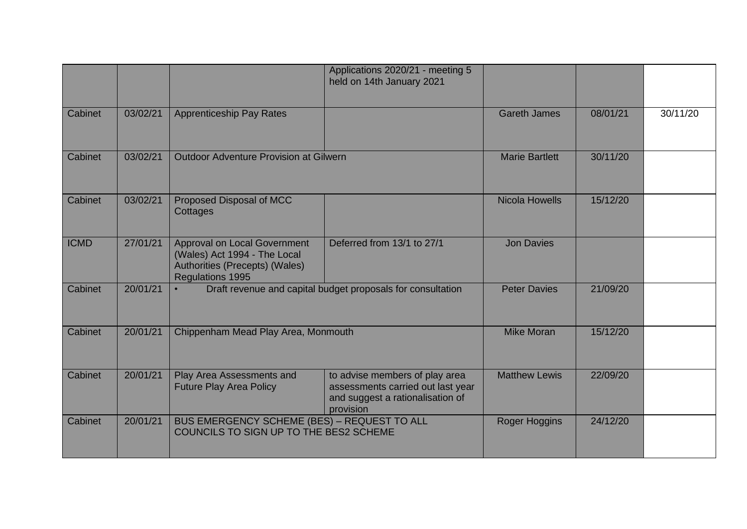|             |          |                                                                                                                                  | Applications 2020/21 - meeting 5<br>held on 14th January 2021                                                        |                       |          |          |
|-------------|----------|----------------------------------------------------------------------------------------------------------------------------------|----------------------------------------------------------------------------------------------------------------------|-----------------------|----------|----------|
| Cabinet     | 03/02/21 | <b>Apprenticeship Pay Rates</b>                                                                                                  |                                                                                                                      | <b>Gareth James</b>   | 08/01/21 | 30/11/20 |
| Cabinet     | 03/02/21 | <b>Outdoor Adventure Provision at Gilwern</b>                                                                                    |                                                                                                                      | <b>Marie Bartlett</b> | 30/11/20 |          |
| Cabinet     | 03/02/21 | Proposed Disposal of MCC<br>Cottages                                                                                             |                                                                                                                      | <b>Nicola Howells</b> | 15/12/20 |          |
| <b>ICMD</b> | 27/01/21 | <b>Approval on Local Government</b><br>(Wales) Act 1994 - The Local<br>Authorities (Precepts) (Wales)<br><b>Regulations 1995</b> | Deferred from 13/1 to 27/1                                                                                           | <b>Jon Davies</b>     |          |          |
| Cabinet     | 20/01/21 |                                                                                                                                  | Draft revenue and capital budget proposals for consultation                                                          | <b>Peter Davies</b>   | 21/09/20 |          |
| Cabinet     | 20/01/21 | Chippenham Mead Play Area, Monmouth                                                                                              |                                                                                                                      | <b>Mike Moran</b>     | 15/12/20 |          |
| Cabinet     | 20/01/21 | Play Area Assessments and<br><b>Future Play Area Policy</b>                                                                      | to advise members of play area<br>assessments carried out last year<br>and suggest a rationalisation of<br>provision | <b>Matthew Lewis</b>  | 22/09/20 |          |
| Cabinet     | 20/01/21 | BUS EMERGENCY SCHEME (BES) - REQUEST TO ALL<br>COUNCILS TO SIGN UP TO THE BES2 SCHEME                                            |                                                                                                                      | Roger Hoggins         | 24/12/20 |          |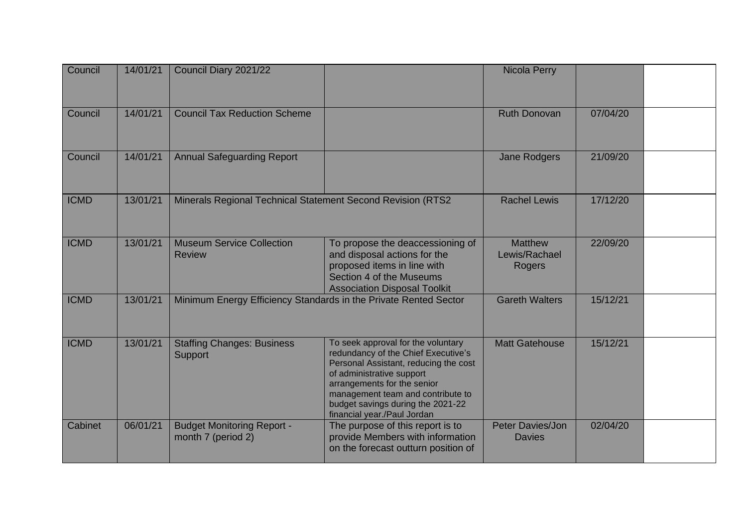| Council     | 14/01/21 | Council Diary 2021/22                                            |                                                                                                                                                                                                                                                                                         | Nicola Perry                              |          |  |
|-------------|----------|------------------------------------------------------------------|-----------------------------------------------------------------------------------------------------------------------------------------------------------------------------------------------------------------------------------------------------------------------------------------|-------------------------------------------|----------|--|
| Council     | 14/01/21 | <b>Council Tax Reduction Scheme</b>                              |                                                                                                                                                                                                                                                                                         | <b>Ruth Donovan</b>                       | 07/04/20 |  |
| Council     | 14/01/21 | <b>Annual Safeguarding Report</b>                                |                                                                                                                                                                                                                                                                                         | <b>Jane Rodgers</b>                       | 21/09/20 |  |
| <b>ICMD</b> | 13/01/21 | Minerals Regional Technical Statement Second Revision (RTS2)     |                                                                                                                                                                                                                                                                                         | <b>Rachel Lewis</b>                       | 17/12/20 |  |
| <b>ICMD</b> | 13/01/21 | <b>Museum Service Collection</b><br><b>Review</b>                | To propose the deaccessioning of<br>and disposal actions for the<br>proposed items in line with<br>Section 4 of the Museums<br><b>Association Disposal Toolkit</b>                                                                                                                      | <b>Matthew</b><br>Lewis/Rachael<br>Rogers | 22/09/20 |  |
| <b>ICMD</b> | 13/01/21 | Minimum Energy Efficiency Standards in the Private Rented Sector |                                                                                                                                                                                                                                                                                         | <b>Gareth Walters</b>                     | 15/12/21 |  |
| <b>ICMD</b> | 13/01/21 | <b>Staffing Changes: Business</b><br>Support                     | To seek approval for the voluntary<br>redundancy of the Chief Executive's<br>Personal Assistant, reducing the cost<br>of administrative support<br>arrangements for the senior<br>management team and contribute to<br>budget savings during the 2021-22<br>financial year./Paul Jordan | <b>Matt Gatehouse</b>                     | 15/12/21 |  |
| Cabinet     | 06/01/21 | <b>Budget Monitoring Report -</b><br>month 7 (period 2)          | The purpose of this report is to<br>provide Members with information<br>on the forecast outturn position of                                                                                                                                                                             | Peter Davies/Jon<br><b>Davies</b>         | 02/04/20 |  |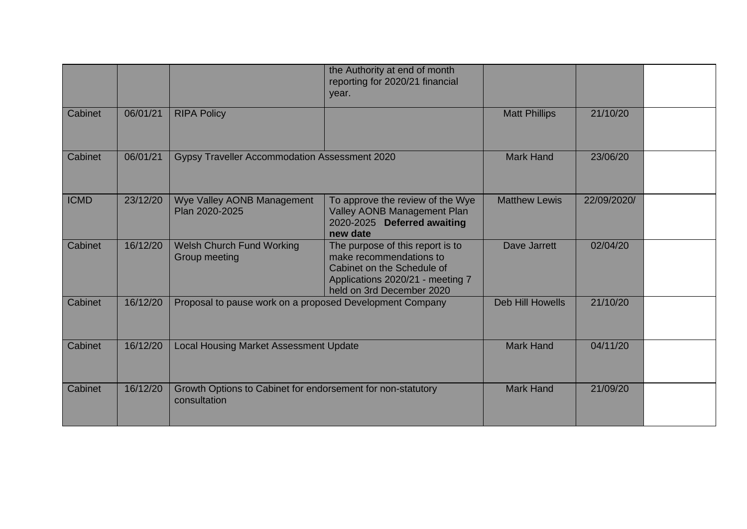|             |          |                                                                             | the Authority at end of month<br>reporting for 2020/21 financial<br>year.                                                                                  |                         |             |  |
|-------------|----------|-----------------------------------------------------------------------------|------------------------------------------------------------------------------------------------------------------------------------------------------------|-------------------------|-------------|--|
| Cabinet     | 06/01/21 | <b>RIPA Policy</b>                                                          |                                                                                                                                                            | <b>Matt Phillips</b>    | 21/10/20    |  |
| Cabinet     | 06/01/21 | Gypsy Traveller Accommodation Assessment 2020                               |                                                                                                                                                            | <b>Mark Hand</b>        | 23/06/20    |  |
| <b>ICMD</b> | 23/12/20 | Wye Valley AONB Management<br>Plan 2020-2025                                | To approve the review of the Wye<br>Valley AONB Management Plan<br>2020-2025 Deferred awaiting<br>new date                                                 | <b>Matthew Lewis</b>    | 22/09/2020/ |  |
| Cabinet     | 16/12/20 | <b>Welsh Church Fund Working</b><br>Group meeting                           | The purpose of this report is to<br>make recommendations to<br>Cabinet on the Schedule of<br>Applications 2020/21 - meeting 7<br>held on 3rd December 2020 | <b>Dave Jarrett</b>     | 02/04/20    |  |
| Cabinet     | 16/12/20 | Proposal to pause work on a proposed Development Company                    |                                                                                                                                                            | <b>Deb Hill Howells</b> | 21/10/20    |  |
| Cabinet     | 16/12/20 | <b>Local Housing Market Assessment Update</b>                               |                                                                                                                                                            | <b>Mark Hand</b>        | 04/11/20    |  |
| Cabinet     | 16/12/20 | Growth Options to Cabinet for endorsement for non-statutory<br>consultation |                                                                                                                                                            | <b>Mark Hand</b>        | 21/09/20    |  |